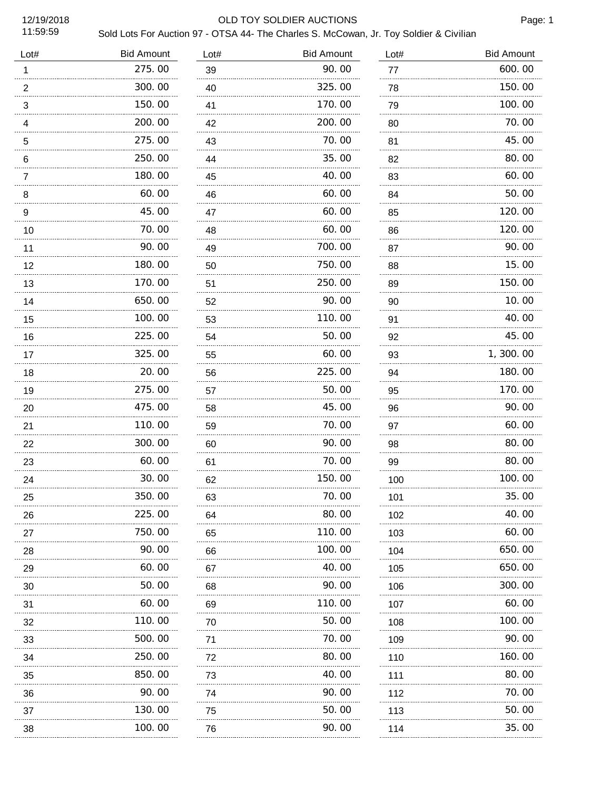## 12/19/2018 OLD TOY SOLDIER AUCTIONS

Page: 1

| Lot#           | <b>Bid Amount</b> | Lot#    | <b>Bid Amount</b> | Lot#     | <b>Bid Amount</b> |
|----------------|-------------------|---------|-------------------|----------|-------------------|
| $\mathbf{1}$   | 275.00            | 39      | 90.00             | 77       | 600.00            |
| $\overline{2}$ | 300.00            | 40      | 325.00            | 78       | 150.00            |
| 3              | 150.00            | 41      | 170.00            | 79<br>.  | 100.00            |
| 4              | 200.00            | 42      | 200.00            | 80<br>.  | 70.00             |
| 5              | 275.00            | 43<br>. | 70.00             | 81<br>.  | 45.00             |
| 6              | 250.00            | 44      | 35.00             | 82<br>.  | 80.00             |
| 7              | 180.00            | 45      | 40.00             | 83<br>.  | 60.00             |
| 8              | 60.00             | 46      | 60.00             | 84       | 50.00             |
| 9              | 45.00             | 47      | 60.00             | 85       | 120.00            |
| 10             | 70.00             | 48      | 60.00             | 86       | 120.00            |
| 11             | 90.00             | 49      | 700.00            | 87       | 90.00             |
| 12             | 180.00<br>.       | 50      | 750.00            | 88       | 15.00             |
| 13             | 170.00            | 51      | 250.00            | 89       | 150.00            |
| 14             | 650.00<br>.       | 52      | 90.00             | 90       | 10.00             |
| 15             | 100.00            | 53      | 110.00            | 91       | 40.00             |
| 16             | 225.00<br>.       | 54      | 50.00             | 92       | 45.00             |
| 17             | 325.00            | 55      | 60.00             | 93       | 1,300.00          |
| 18             | 20.00<br>.        | 56      | 225.00<br>.       | 94       | 180.00            |
| 19             | 275.00            | 57      | 50.00             | 95       | 170.00            |
| 20             | 475.00<br>.       | 58      | 45.00<br>.        | 96       | 90.00             |
| 21             | 110.00<br>.       | 59      | 70.00             | 97       | 60.00             |
| 22             | 300.00<br>.       | 60      | 90.00<br>.        | 98       | 80.00             |
| 23             | 60.00             | 61      | 70.00             | 99       | 80.00             |
| 24             | 30.00             | 62      | 150.00            | 100      | 100.00            |
| 25             | 350.00            | 63      | 70.00             | 101      | 35.00             |
| 26             | 225.00            | 64      | 80.00             | 102      | 40.00             |
| 27             | 750.00            | 65      | 110.00            | 103      | 60.00             |
| 28             | 90.00             | 66      | 100.00            | 104      | 650.00            |
| 29             | 60.00<br>.        | 67      | 40.00             | 105      | 650.00            |
| 30             | 50.00             | 68      | 90.00             | 106      | 300.00            |
| 31             | 60.00             | 69      | 110.00            | 107<br>. | 60.00             |
| 32             | 110.00            | 70      | 50.00             | 108      | 100.00            |
| 33             | 500.00            | 71<br>. | 70.00             | 109<br>. | 90.00             |
| 34             | 250.00            | 72      | 80.00             | 110      | 160.00            |
| 35             | 850.00            | 73      | 40.00             | 111      | 80.00             |
| 36             | 90.00             | 74      | 90.00             | 112      | 70.00             |
| 37             | 130.00            | 75      | 50.00             | 113      | 50.00             |
| 38             | 100.00            | 76      | 90.00             | 114      | 35.00             |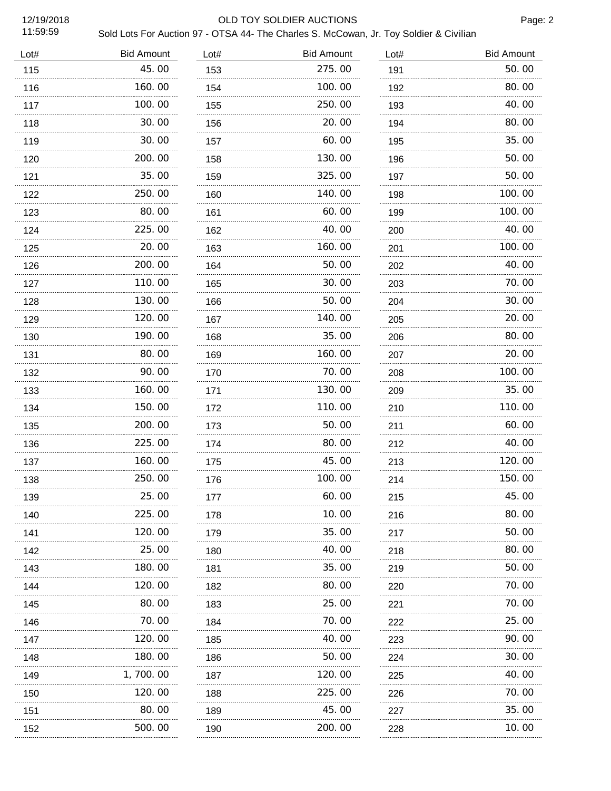## 12/19/2018 OLD TOY SOLDIER AUCTIONS

Page: 2

| Lot# | <b>Bid Amount</b> | Lot#     | <b>Bid Amount</b> | Lot# | <b>Bid Amount</b> |
|------|-------------------|----------|-------------------|------|-------------------|
| 115  | 45.00             | 153      | 275.00            | 191  | 50.00             |
| 116  | 160.00            | 154      | 100.00            | 192  | 80.00             |
| 117  | 100.00            | 155      | 250.00            | 193  | 40.00             |
| 118  | 30.00             | 156      | 20.00             | 194  | 80.00             |
| 119  | 30.00             | 157      | 60.00             | 195  | 35.00             |
| 120  | 200.00            | 158      | 130.00            | 196  | 50.00             |
| 121  | 35.00             | 159      | 325.00            | 197  | 50.00             |
| 122  | 250.00            | 160      | 140.00            | 198  | 100.00            |
| 123  | 80.00             | 161<br>. | 60.00             | 199  | 100.00            |
| 124  | 225.00            | 162      | 40.00             | 200  | 40.00             |
| 125  | 20.00             | 163      | 160.00            | 201  | 100.00            |
| 126  | 200.00            | 164      | 50.00             | 202  | 40.00             |
| 127  | 110.00            | 165      | 30.00             | 203  | 70.00             |
| 128  | 130.00            | 166      | 50.00             | 204  | 30.00             |
| 129  | 120.00            | 167      | 140.00            | 205  | 20.00             |
| 130  | 190.00            | 168      | 35.00             | 206  | 80.00             |
| 131  | 80.00             | 169      | 160.00            | 207  | 20.00             |
| 132  | 90.00<br>.        | 170      | 70.00             | 208  | 100.00            |
| 133  | 160.00            | 171      | 130.00            | 209  | 35.00             |
| 134  | 150.00<br>.       | 172      | 110.00<br>.       | 210  | 110.00            |
| 135  | 200.00            | 173      | 50.00             | 211  | 60.00             |
| 136  | 225.00<br>.       | 174      | 80.00<br>.        | 212  | 40.00             |
| 137  | 160.00            | 175      | 45.00             | 213  | 120.00            |
| 138  | 250.00            | 176      | 100.00            | 214  | 150.00            |
| 139  | 25.00             | 177      | 60.00             | 215  | 45.00             |
| 140  | 225.00            | 178      | 10.00             | 216  | 80.00             |
| 141  | 120.00            | 179      | 35.00             | 217  | 50.00             |
| 142  | 25.00             | 180      | 40.00             | 218  | 80.00             |
| 143  | 180. 00<br>.      | 181      | 35.00             | 219  | 50.00             |
| 144  | 120.00            | 182      | 80.00             | 220  | 70.00             |
| 145  | 80.00             | 183      | 25.00             | 221  | 70.00             |
| 146  | 70.00             | 184      | 70.00             | 222  | 25.00             |
| 147  | 120.00            | 185      | 40.00             | 223  | 90.00             |
| 148  | 180.00            | 186      | 50.00             | 224  | 30.00             |
| 149  | 1, 700. 00        | 187      | 120.00            | 225  | 40.00             |
| 150  | 120.00            | 188      | 225.00            | 226  | 70.00             |
| 151  | 80.00             | 189      | 45.00             | 227  | 35.00             |
| 152  | 500.00            | 190      | 200.00            | 228  | 10.00             |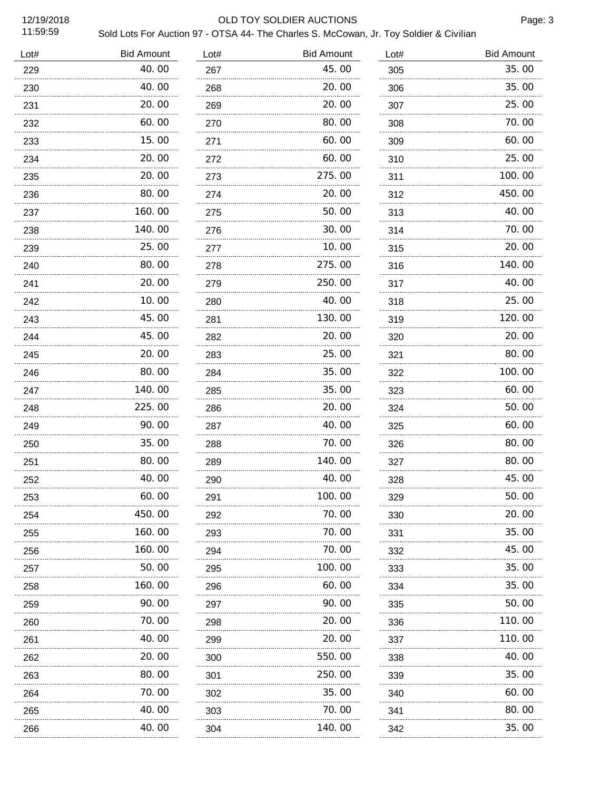## 12/19/2018 OLD TOY SOLDIER AUCTIONS

| Lot# | <b>Bid Amount</b> | Lot# | <b>Bid Amount</b> | Lot# | <b>Bid Amount</b> |
|------|-------------------|------|-------------------|------|-------------------|
| 229  | 40.00             | 267  | 45.00             | 305  | 35.00             |
| 230  | 40.00             | 268  | 20.00             | 306  | 35.00             |
| 231  | 20.00             | 269  | 20.00             | 307  | 25.00             |
| 232  | 60.00             | 270  | 80.00             | 308  | 70.00             |
| 233  | 15.00             | 271  | 60.00             | 309  | 60.00             |
| 234  | 20.00             | 272  | 60.00             | 310  | 25.00             |
| 235  | 20.00             | 273  | 275.00            | 311  | 100.00            |
| 236  | 80.00             | 274  | 20.00             | 312  | 450.00            |
| 237  | 160.00            | 275  | 50.00             | 313  | 40.00             |
| 238  | 140.00            | 276  | 30.00             | 314  | 70.00             |
| 239  | 25.00             | 277  | 10.00             | 315  | 20.00             |
| 240  | 80.00             | 278  | 275.00            | 316  | 140.00            |
| 241  | 20.00             | 279  | 250.00            | 317  | 40.00             |
| 242  | 10.00             | 280  | 40.00             | 318  | 25.00             |
| 243  | 45.00             | 281  | 130.00            | 319  | 120.00            |
| 244  | 45.00             | 282  | 20.00             | 320  | 20.00             |
| 245  | 20.00             | 283  | 25.00             | 321  | 80.00             |
| 246  | 80.00             | 284  | 35.00             | 322  | 100.00            |
| 247  | 140.00            | 285  | 35.00             | 323  | 60.00             |
| 248  | 225.00            | 286  | 20.00             | 324  | 50.00             |
| 249  | 90.00             | 287  | 40.00             | 325  | 60.00             |
| 250  | 35.00             | 288  | 70.00             | 326  | 80.00             |
| 251  | 80.00             | 289  | 140.00            | 327  | 80.00             |
| 252  | 40.00             | 290  | 40.00             | 328  | 45.00             |
| 253  | 60.00             | 291  | 100. 00           | 329  | 50. OO            |
| 254  | 450.00            | 292  | 70.00             | 330  | 20. 00            |
| 255  | 160.00<br>.       | 293  | 70.00             | 331  | 35.00             |
| 256  | 160.00            | 294  | 70.00             | 332  | 45.00             |
| 257  | 50.00             | 295  | 100. 00           | 333  | 35.00             |
| 258  | .<br>160.00       | 296  | 60.00             | 334  | 35.00             |
| 259  | 90.00             | 297  | 90.00<br>.        | 335  | 50.00             |
| 260  | .<br>70.00        | 298  | 20.00             | 336  | 110.00            |
| 261  | 40.00             | 299  | 20.00             | 337  | 110. 00           |
| 262  | .<br>20.00        | 300  | 550.00            | 338  | 40. 00            |
| 263  | 80.00             | 301  | 250.00            | 339  | 35.00             |
| 264  | .<br>70.00        | 302  | 35.00             | 340  | 60.00             |
| 265  | 40.00             | 303  | 70.00             | 341  | 80.00             |
| 266  | 40.00             | 304  | 140.00            | 342  | 35.00             |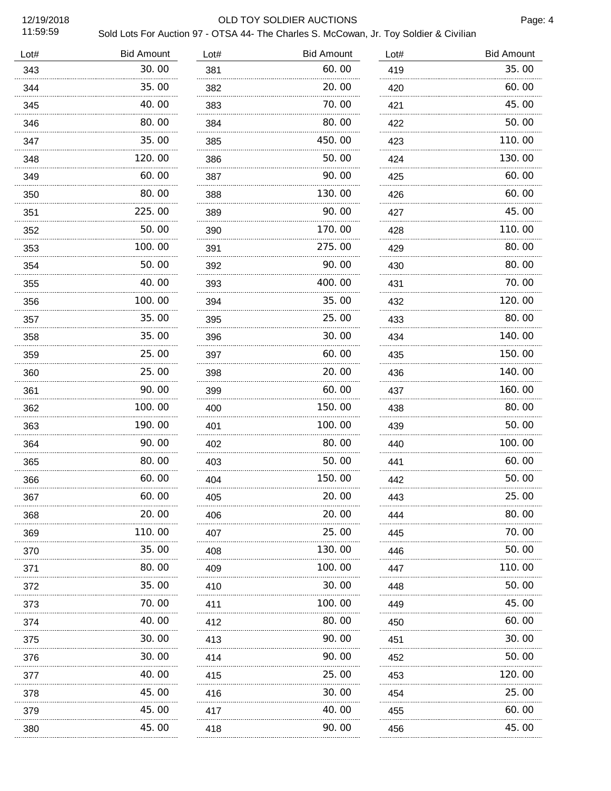# 12/19/2018 OLD TOY SOLDIER AUCTIONS

Page: 4

| Lot# | <b>Bid Amount</b> | Lot#     | <b>Bid Amount</b> | Lot# | <b>Bid Amount</b> |
|------|-------------------|----------|-------------------|------|-------------------|
| 343  | 30.00             | 381      | 60.00             | 419  | 35.00             |
| 344  | 35.00             | 382      | 20.00             | 420  | 60.00             |
| 345  | 40.00             | 383      | 70.00             | 421  | 45.00             |
| 346  | 80.00             | 384      | 80.00             | 422  | 50.00             |
| 347  | 35.00             | 385      | 450.00            | 423  | 110.00            |
| 348  | 120.00            | 386      | 50.00             | 424  | 130.00            |
| 349  | 60.00             | 387      | 90.00             | 425  | 60.00             |
| 350  | 80.00             | 388      | 130.00            | 426  | 60.00             |
| 351  | 225.00            | 389      | 90.00             | 427  | 45.00             |
| 352  | 50.00<br>.        | 390      | 170.00            | 428  | 110.00            |
| 353  | 100.00            | 391      | 275.00            | 429  | 80.00             |
| 354  | 50.00<br>.        | 392      | 90.00             | 430  | 80.00             |
| 355  | 40.00             | 393      | 400.00            | 431  | 70.00             |
| 356  | 100.00<br>.       | 394      | 35.00<br>.        | 432  | 120.00            |
| 357  | 35.00             | 395      | 25.00             | 433  | 80.00             |
| 358  | 35.00<br>.        | 396      | 30.00             | 434  | 140.00            |
| 359  | 25.00             | 397      | 60.00             | 435  | 150.00            |
| 360  | 25.00<br>.        | 398      | 20.00             | 436  | 140.00            |
| 361  | 90.00<br>.        | 399      | 60.00             | 437  | 160.00            |
| 362  | 100.00<br>.       | 400      | 150.00            | 438  | 80.00             |
| 363  | 190.00            | 401      | 100.00            | 439  | 50.00             |
| 364  | 90.00             | 402      | 80.00             | 440  | 100.00            |
| 365  | 80.00             | 403      | 50.00             | 441  | 60.00             |
| 366  | 60.00             | 404      | 150.00            | 442  | 50.00             |
| 367  | 60.00             | 405      | 20.00             | 443  | 25.00             |
| 368  | 20.00             | 406      | 20.00             | 444  | 80.00             |
| 369  | 110.00            | 407      | 25.00             | 445  | 70.00             |
| 370  | 35.00             | 408      | 130.00            | 446  | 50.00             |
| 371  | 80.00             | 409      | 100.00            | 447  | 110.00            |
| 372  | 35.00             | 410      | 30.00             | 448  | 50.00             |
| 373  | 70.00             | 411      | 100.00            | 449  | 45.00             |
| 374  | 40.00             | 412      | 80.00             | 450  | 60.00             |
| 375  | 30.00             | 413<br>. | 90.00             | 451  | 30. 00            |
| 376  | 30.00             | 414      | 90.00             | 452  | 50.00             |
| 377  | 40.00             | 415      | 25.00             | 453  | 120. 00           |
| 378  | 45.00             | 416      | 30.00             | 454  | 25.00             |
| 379  | 45.00             | 417      | 40.00             | 455  | 60.00             |
| 380  | 45.00             | 418      | 90.00             | 456  | 45.00             |